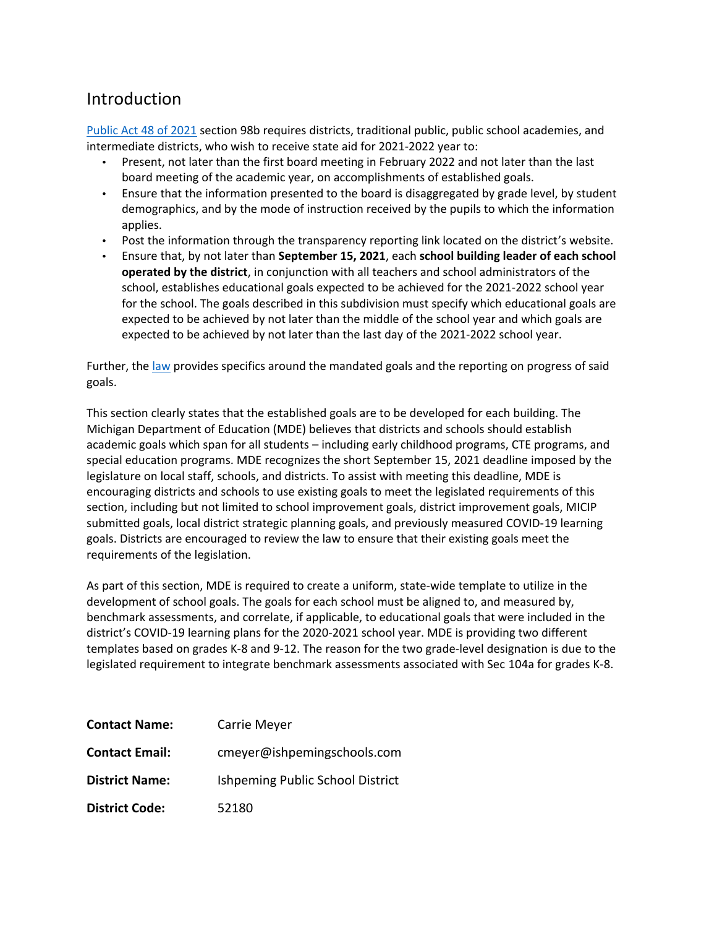### Introduction

Public Act 48 of 2021 section 98b requires districts, traditional public, public school academies, and intermediate districts, who wish to receive state aid for 2021-2022 year to:

- Present, not later than the first board meeting in February 2022 and not later than the last board meeting of the academic year, on accomplishments of established goals.
- Ensure that the information presented to the board is disaggregated by grade level, by student demographics, and by the mode of instruction received by the pupils to which the information applies.
- Post the information through the transparency reporting link located on the district's website.
- Ensure that, by not later than **September 15, 2021**, each **school building leader of each school operated by the district**, in conjunction with all teachers and school administrators of the school, establishes educational goals expected to be achieved for the 2021-2022 school year for the school. The goals described in this subdivision must specify which educational goals are expected to be achieved by not later than the middle of the school year and which goals are expected to be achieved by not later than the last day of the 2021-2022 school year.

Further, the law provides specifics around the mandated goals and the reporting on progress of said goals.

This section clearly states that the established goals are to be developed for each building. The Michigan Department of Education (MDE) believes that districts and schools should establish academic goals which span for all students – including early childhood programs, CTE programs, and special education programs. MDE recognizes the short September 15, 2021 deadline imposed by the legislature on local staff, schools, and districts. To assist with meeting this deadline, MDE is encouraging districts and schools to use existing goals to meet the legislated requirements of this section, including but not limited to school improvement goals, district improvement goals, MICIP submitted goals, local district strategic planning goals, and previously measured COVID-19 learning goals. Districts are encouraged to review the law to ensure that their existing goals meet the requirements of the legislation.

As part of this section, MDE is required to create a uniform, state-wide template to utilize in the development of school goals. The goals for each school must be aligned to, and measured by, benchmark assessments, and correlate, if applicable, to educational goals that were included in the district's COVID-19 learning plans for the 2020-2021 school year. MDE is providing two different templates based on grades K-8 and 9-12. The reason for the two grade-level designation is due to the legislated requirement to integrate benchmark assessments associated with Sec 104a for grades K-8.

| <b>Contact Name:</b>  | Carrie Meyer                     |  |  |
|-----------------------|----------------------------------|--|--|
| <b>Contact Email:</b> | cmeyer@ishpemingschools.com      |  |  |
| <b>District Name:</b> | Ishpeming Public School District |  |  |
| <b>District Code:</b> | 52180                            |  |  |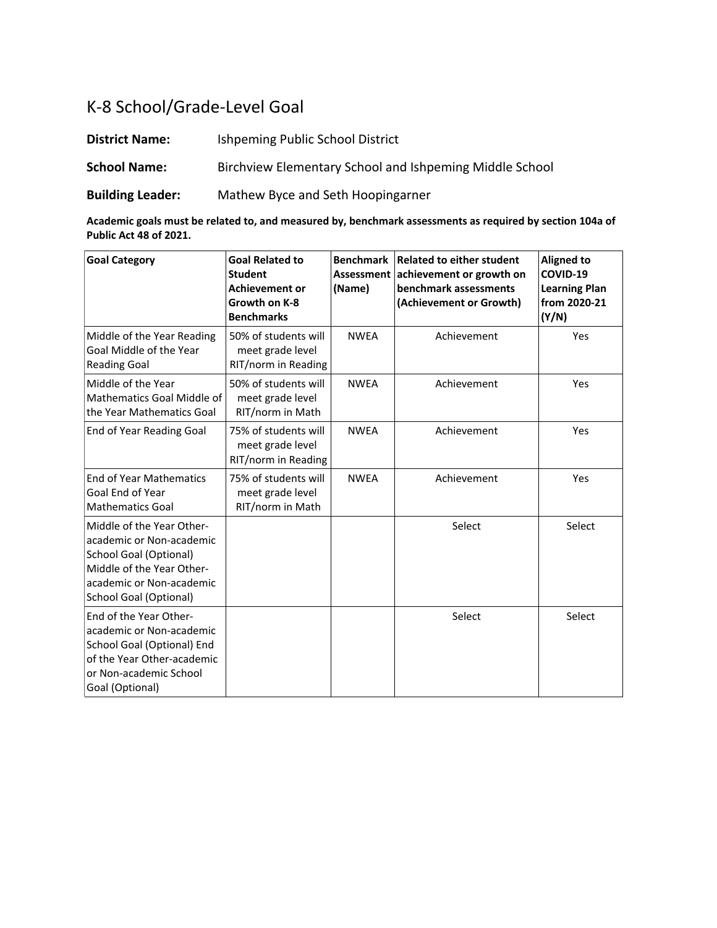# K-8 School/Grade-Level Goal

**District Name:** Ishpeming Public School District **School Name:** Birchview Elementary School and Ishpeming Middle School **Building Leader:** Mathew Byce and Seth Hoopingarner

**Academic goals must be related to, and measured by, benchmark assessments as required by section 104a of Public Act 48 of 2021.**

| <b>Goal Category</b>                                                                                                                                                             | <b>Goal Related to</b><br><b>Student</b><br><b>Achievement or</b><br>Growth on K-8<br><b>Benchmarks</b> | <b>Benchmark</b><br><b>Assessment</b><br>(Name) | <b>Related to either student</b><br>achievement or growth on<br>benchmark assessments<br>(Achievement or Growth) | <b>Aligned to</b><br>COVID-19<br><b>Learning Plan</b><br>from 2020-21<br>(Y/N) |
|----------------------------------------------------------------------------------------------------------------------------------------------------------------------------------|---------------------------------------------------------------------------------------------------------|-------------------------------------------------|------------------------------------------------------------------------------------------------------------------|--------------------------------------------------------------------------------|
| Middle of the Year Reading<br>Goal Middle of the Year<br><b>Reading Goal</b>                                                                                                     | 50% of students will<br>meet grade level<br>RIT/norm in Reading                                         | <b>NWEA</b>                                     | Achievement                                                                                                      | Yes                                                                            |
| Middle of the Year<br>Mathematics Goal Middle of<br>the Year Mathematics Goal                                                                                                    | 50% of students will<br>meet grade level<br>RIT/norm in Math                                            | <b>NWEA</b>                                     | Achievement                                                                                                      | Yes                                                                            |
| End of Year Reading Goal                                                                                                                                                         | 75% of students will<br>meet grade level<br>RIT/norm in Reading                                         | <b>NWFA</b>                                     | Achievement                                                                                                      | Yes                                                                            |
| <b>End of Year Mathematics</b><br>Goal End of Year<br><b>Mathematics Goal</b>                                                                                                    | 75% of students will<br>meet grade level<br>RIT/norm in Math                                            | <b>NWEA</b>                                     | Achievement                                                                                                      | Yes                                                                            |
| Middle of the Year Other-<br>academic or Non-academic<br><b>School Goal (Optional)</b><br>Middle of the Year Other-<br>academic or Non-academic<br><b>School Goal (Optional)</b> |                                                                                                         |                                                 | Select                                                                                                           | Select                                                                         |
| End of the Year Other-<br>academic or Non-academic<br>School Goal (Optional) End<br>of the Year Other-academic<br>or Non-academic School<br>Goal (Optional)                      |                                                                                                         |                                                 | Select                                                                                                           | Select                                                                         |